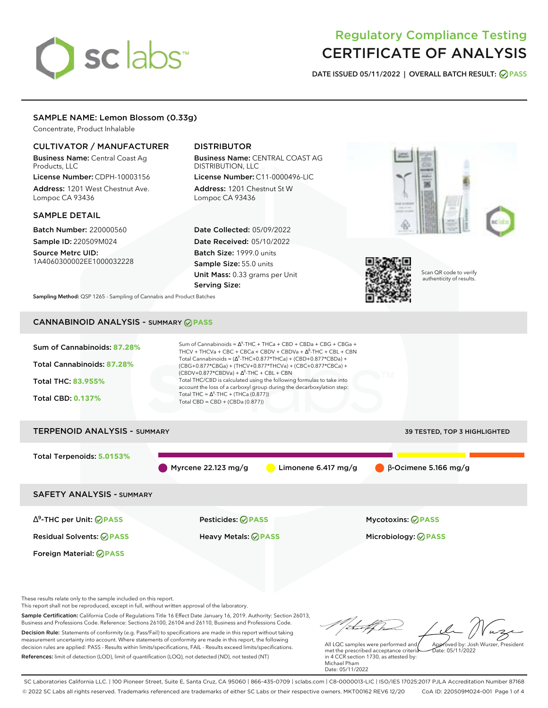# sclabs<sup>\*</sup>

# Regulatory Compliance Testing CERTIFICATE OF ANALYSIS

**DATE ISSUED 05/11/2022 | OVERALL BATCH RESULT: PASS**

# SAMPLE NAME: Lemon Blossom (0.33g)

Concentrate, Product Inhalable

# CULTIVATOR / MANUFACTURER

Business Name: Central Coast Ag Products, LLC

License Number: CDPH-10003156 Address: 1201 West Chestnut Ave. Lompoc CA 93436

## SAMPLE DETAIL

Batch Number: 220000560 Sample ID: 220509M024

Source Metrc UID: 1A4060300002EE1000032228

# DISTRIBUTOR

Business Name: CENTRAL COAST AG DISTRIBUTION, LLC License Number: C11-0000496-LIC

Address: 1201 Chestnut St W Lompoc CA 93436

Date Collected: 05/09/2022 Date Received: 05/10/2022 Batch Size: 1999.0 units Sample Size: 55.0 units Unit Mass: 0.33 grams per Unit Serving Size:





Scan QR code to verify authenticity of results.

**Sampling Method:** QSP 1265 - Sampling of Cannabis and Product Batches

# CANNABINOID ANALYSIS - SUMMARY **PASS**



# TERPENOID ANALYSIS - SUMMARY 39 TESTED, TOP 3 HIGHLIGHTED Total Terpenoids: **5.0153%** Myrcene 22.123 mg/g Limonene 6.417 mg/g β-Ocimene 5.166 mg/g SAFETY ANALYSIS - SUMMARY ∆ 9 -THC per Unit: **PASS** Pesticides: **PASS** Mycotoxins: **PASS**

Residual Solvents: **PASS** Heavy Metals: **PASS** Microbiology: **PASS**

Foreign Material: **PASS**

These results relate only to the sample included on this report.

This report shall not be reproduced, except in full, without written approval of the laboratory.

Sample Certification: California Code of Regulations Title 16 Effect Date January 16, 2019. Authority: Section 26013, Business and Professions Code. Reference: Sections 26100, 26104 and 26110, Business and Professions Code. Decision Rule: Statements of conformity (e.g. Pass/Fail) to specifications are made in this report without taking measurement uncertainty into account. Where statements of conformity are made in this report, the following decision rules are applied: PASS - Results within limits/specifications, FAIL - Results exceed limits/specifications.

References: limit of detection (LOD), limit of quantification (LOQ), not detected (ND), not tested (NT)

Approved by: Josh Wurzer, President

 $hat: 05/11/2022$ 

All LQC samples were performed and met the prescribed acceptance criteria in 4 CCR section 1730, as attested by: Michael Pham Date: 05/11/2022

SC Laboratories California LLC. | 100 Pioneer Street, Suite E, Santa Cruz, CA 95060 | 866-435-0709 | sclabs.com | C8-0000013-LIC | ISO/IES 17025:2017 PJLA Accreditation Number 87168 © 2022 SC Labs all rights reserved. Trademarks referenced are trademarks of either SC Labs or their respective owners. MKT00162 REV6 12/20 CoA ID: 220509M024-001 Page 1 of 4